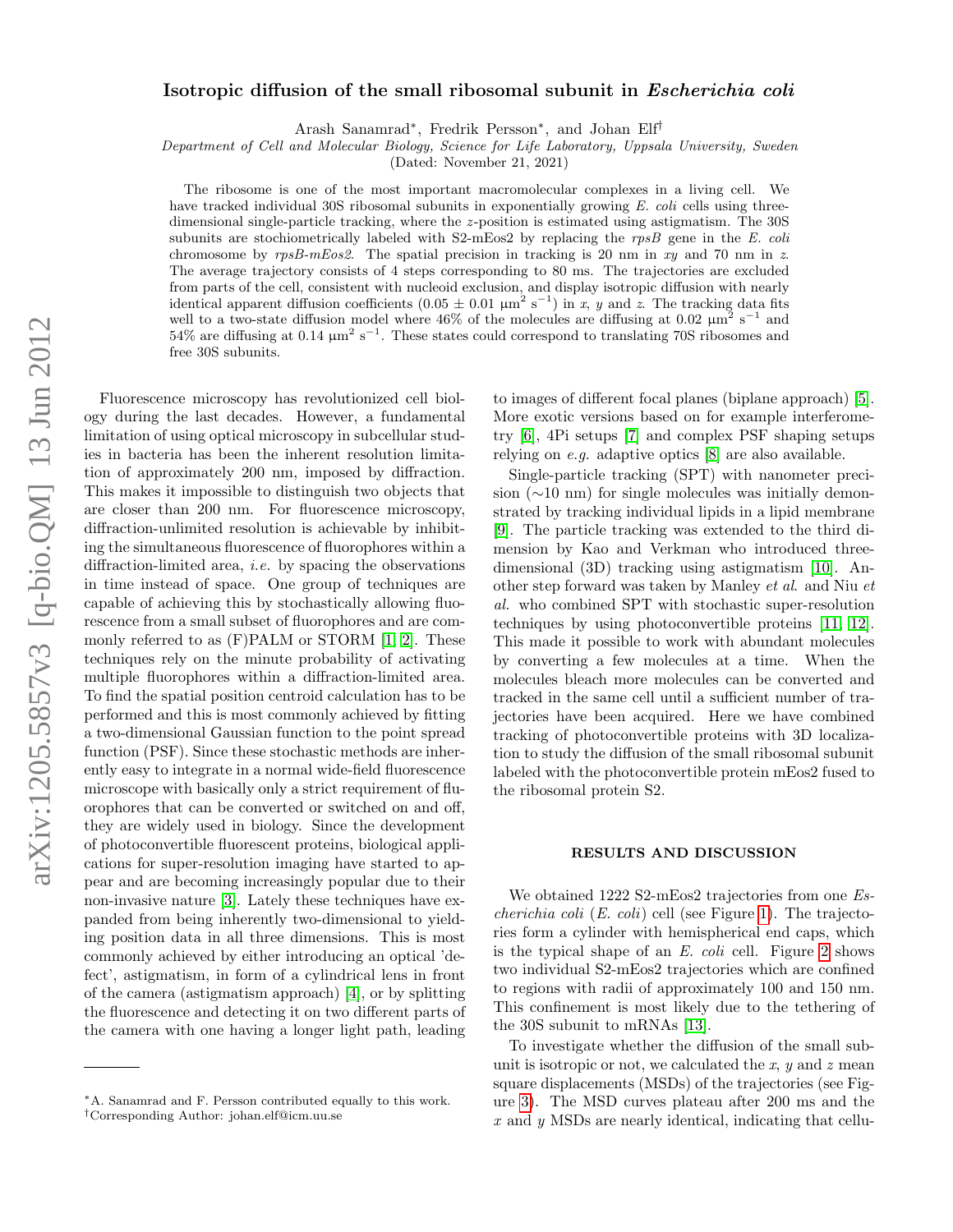# arXiv:1205.5857v3 [q-bio.QM] 13 Jun 2012 arXiv:1205.5857v3 [q-bio.QM] 13 Jun 2012

# Isotropic diffusion of the small ribosomal subunit in Escherichia coli

Arash Sanamrad<sup>∗</sup> , Fredrik Persson<sup>∗</sup> , and Johan Elf†

Department of Cell and Molecular Biology, Science for Life Laboratory, Uppsala University, Sweden

(Dated: November 21, 2021)

The ribosome is one of the most important macromolecular complexes in a living cell. We have tracked individual 30S ribosomal subunits in exponentially growing E. coli cells using threedimensional single-particle tracking, where the z-position is estimated using astigmatism. The 30S subunits are stochiometrically labeled with  $S2-\text{mEos2}$  by replacing the rpsB gene in the E. coli chromosome by  $rpsB-mEos2$ . The spatial precision in tracking is 20 nm in xy and 70 nm in z. The average trajectory consists of 4 steps corresponding to 80 ms. The trajectories are excluded from parts of the cell, consistent with nucleoid exclusion, and display isotropic diffusion with nearly identical apparent diffusion coefficients  $(0.05 \pm 0.01 \mu m^2 s^{-1})$  in x, y and z. The tracking data fits well to a two-state diffusion model where  $46\%$  of the molecules are diffusing at 0.02  $\mu$ m<sup>2</sup> s<sup>-1</sup> and  $54\%$  are diffusing at 0.14  $\mu$ m<sup>2</sup> s<sup>-1</sup>. These states could correspond to translating 70S ribosomes and free 30S subunits.

Fluorescence microscopy has revolutionized cell biology during the last decades. However, a fundamental limitation of using optical microscopy in subcellular studies in bacteria has been the inherent resolution limitation of approximately 200 nm, imposed by diffraction. This makes it impossible to distinguish two objects that are closer than 200 nm. For fluorescence microscopy, diffraction-unlimited resolution is achievable by inhibiting the simultaneous fluorescence of fluorophores within a diffraction-limited area, i.e. by spacing the observations in time instead of space. One group of techniques are capable of achieving this by stochastically allowing fluorescence from a small subset of fluorophores and are commonly referred to as (F)PALM or STORM [\[1,](#page-4-0) [2\]](#page-4-1). These techniques rely on the minute probability of activating multiple fluorophores within a diffraction-limited area. To find the spatial position centroid calculation has to be performed and this is most commonly achieved by fitting a two-dimensional Gaussian function to the point spread function (PSF). Since these stochastic methods are inherently easy to integrate in a normal wide-field fluorescence microscope with basically only a strict requirement of fluorophores that can be converted or switched on and off, they are widely used in biology. Since the development of photoconvertible fluorescent proteins, biological applications for super-resolution imaging have started to appear and are becoming increasingly popular due to their non-invasive nature [\[3\]](#page-4-2). Lately these techniques have expanded from being inherently two-dimensional to yielding position data in all three dimensions. This is most commonly achieved by either introducing an optical 'defect', astigmatism, in form of a cylindrical lens in front of the camera (astigmatism approach) [\[4\]](#page-4-3), or by splitting the fluorescence and detecting it on two different parts of the camera with one having a longer light path, leading

to images of different focal planes (biplane approach) [\[5\]](#page-4-4). More exotic versions based on for example interferometry [\[6\]](#page-4-5), 4Pi setups [\[7\]](#page-4-6) and complex PSF shaping setups relying on e.g. adaptive optics [\[8\]](#page-4-7) are also available.

Single-particle tracking (SPT) with nanometer precision (∼10 nm) for single molecules was initially demonstrated by tracking individual lipids in a lipid membrane [\[9\]](#page-4-8). The particle tracking was extended to the third dimension by Kao and Verkman who introduced threedimensional (3D) tracking using astigmatism [\[10\]](#page-4-9). Another step forward was taken by Manley et al. and Niu et al. who combined SPT with stochastic super-resolution techniques by using photoconvertible proteins [\[11,](#page-4-10) [12\]](#page-4-11). This made it possible to work with abundant molecules by converting a few molecules at a time. When the molecules bleach more molecules can be converted and tracked in the same cell until a sufficient number of trajectories have been acquired. Here we have combined tracking of photoconvertible proteins with 3D localization to study the diffusion of the small ribosomal subunit labeled with the photoconvertible protein mEos2 fused to the ribosomal protein S2.

### RESULTS AND DISCUSSION

We obtained 1222 S2-mEos2 trajectories from one Es*cherichia coli*  $(E. \text{ coli})$  cell (see Figure [1\)](#page-1-0). The trajectories form a cylinder with hemispherical end caps, which is the typical shape of an E. coli cell. Figure [2](#page-1-1) shows two individual S2-mEos2 trajectories which are confined to regions with radii of approximately 100 and 150 nm. This confinement is most likely due to the tethering of the 30S subunit to mRNAs [\[13\]](#page-4-12).

To investigate whether the diffusion of the small subunit is isotropic or not, we calculated the  $x, y$  and  $z$  mean square displacements (MSDs) of the trajectories (see Figure [3\)](#page-1-2). The MSD curves plateau after 200 ms and the x and y MSDs are nearly identical, indicating that cellu-

<sup>∗</sup>A. Sanamrad and F. Persson contributed equally to this work.

<sup>†</sup>Corresponding Author: johan.elf@icm.uu.se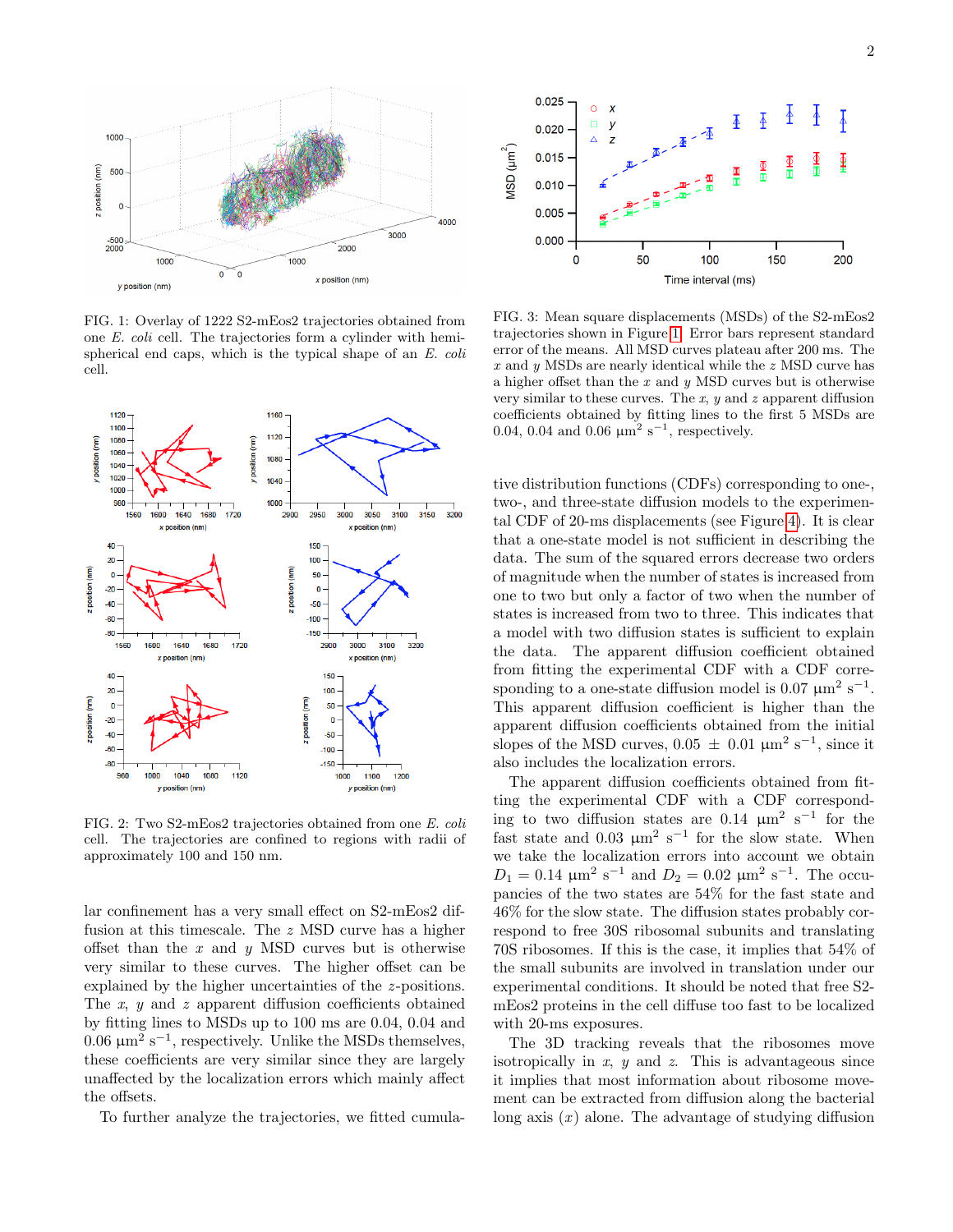

<span id="page-1-0"></span>FIG. 1: Overlay of 1222 S2-mEos2 trajectories obtained from one E. coli cell. The trajectories form a cylinder with hemispherical end caps, which is the typical shape of an E. coli cell.



<span id="page-1-1"></span>FIG. 2: Two S2-mEos2 trajectories obtained from one E. coli cell. The trajectories are confined to regions with radii of approximately 100 and 150 nm.

lar confinement has a very small effect on S2-mEos2 diffusion at this timescale. The z MSD curve has a higher offset than the  $x$  and  $y$  MSD curves but is otherwise very similar to these curves. The higher offset can be explained by the higher uncertainties of the *z*-positions. The  $x$ ,  $y$  and  $z$  apparent diffusion coefficients obtained by fitting lines to MSDs up to 100 ms are 0.04, 0.04 and 0.06  $\mu$ m<sup>2</sup> s<sup>-1</sup>, respectively. Unlike the MSDs themselves, these coefficients are very similar since they are largely unaffected by the localization errors which mainly affect the offsets.

To further analyze the trajectories, we fitted cumula-



<span id="page-1-2"></span>FIG. 3: Mean square displacements (MSDs) of the S2-mEos2 trajectories shown in Figure [1.](#page-1-0) Error bars represent standard error of the means. All MSD curves plateau after 200 ms. The x and y MSDs are nearly identical while the z MSD curve has a higher offset than the  $x$  and  $y$  MSD curves but is otherwise very similar to these curves. The x,  $y$  and z apparent diffusion coefficients obtained by fitting lines to the first 5 MSDs are 0.04, 0.04 and 0.06  $\mu$ m<sup>2</sup> s<sup>-1</sup>, respectively.

tive distribution functions (CDFs) corresponding to one-, two-, and three-state diffusion models to the experimental CDF of 20-ms displacements (see Figure [4\)](#page-2-0). It is clear that a one-state model is not sufficient in describing the data. The sum of the squared errors decrease two orders of magnitude when the number of states is increased from one to two but only a factor of two when the number of states is increased from two to three. This indicates that a model with two diffusion states is sufficient to explain the data. The apparent diffusion coefficient obtained from fitting the experimental CDF with a CDF corresponding to a one-state diffusion model is 0.07  $\mu$ m<sup>2</sup> s<sup>-1</sup>. This apparent diffusion coefficient is higher than the apparent diffusion coefficients obtained from the initial slopes of the MSD curves,  $0.05 \pm 0.01 \mu m^2 s^{-1}$ , since it also includes the localization errors.

The apparent diffusion coefficients obtained from fitting the experimental CDF with a CDF corresponding to two diffusion states are  $0.14 \mu m^2 s^{-1}$  for the fast state and 0.03  $\mu$ m<sup>2</sup> s<sup>-1</sup> for the slow state. When we take the localization errors into account we obtain  $D_1 = 0.14 \ \mu m^2 \ s^{-1}$  and  $D_2 = 0.02 \ \mu m^2 \ s^{-1}$ . The occupancies of the two states are 54% for the fast state and 46% for the slow state. The diffusion states probably correspond to free 30S ribosomal subunits and translating 70S ribosomes. If this is the case, it implies that 54% of the small subunits are involved in translation under our experimental conditions. It should be noted that free S2 mEos2 proteins in the cell diffuse too fast to be localized with 20-ms exposures.

The 3D tracking reveals that the ribosomes move isotropically in  $x$ ,  $y$  and  $z$ . This is advantageous since it implies that most information about ribosome movement can be extracted from diffusion along the bacterial long axis  $(x)$  alone. The advantage of studying diffusion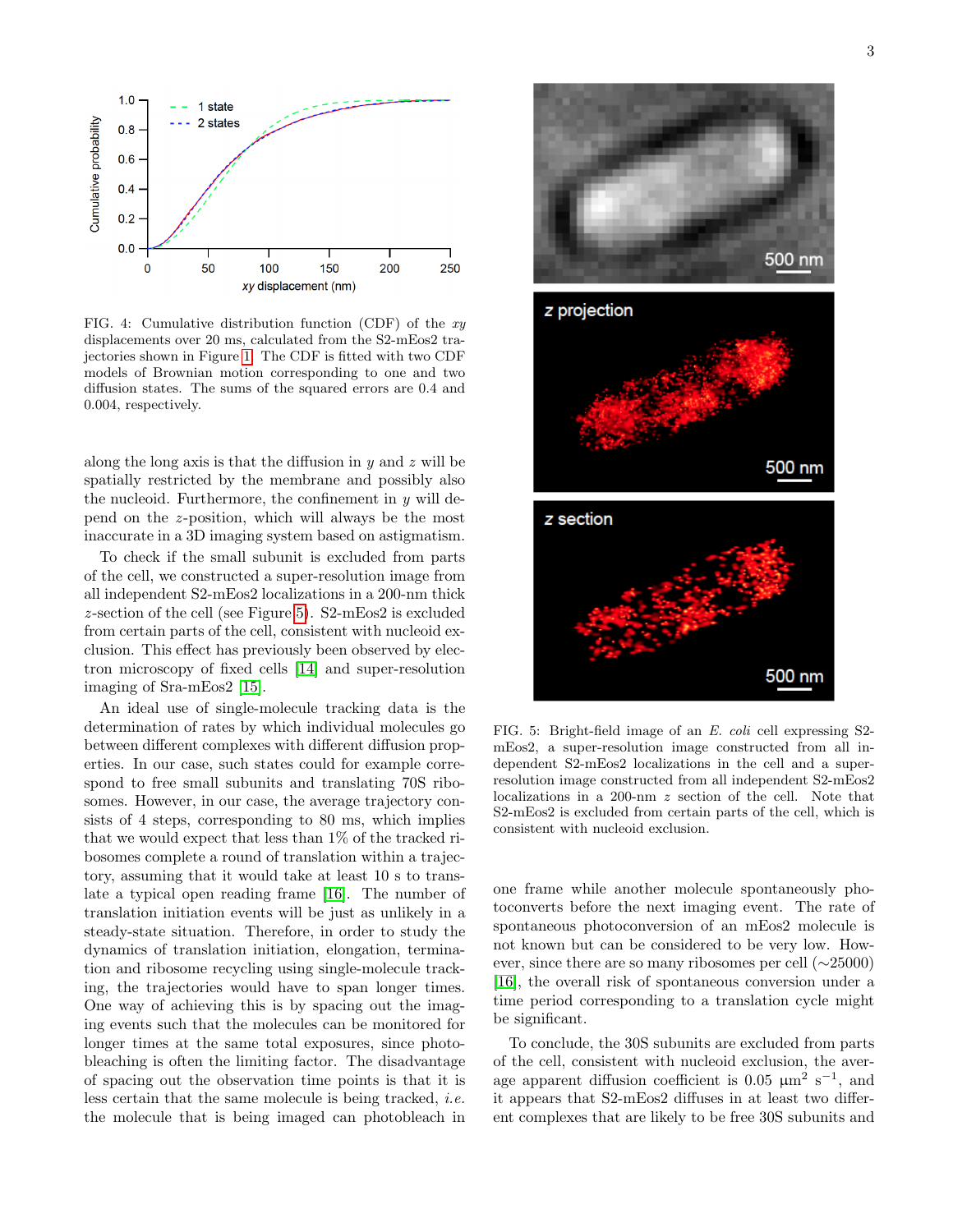

<span id="page-2-0"></span>FIG. 4: Cumulative distribution function (CDF) of the  $xy$ displacements over 20 ms, calculated from the S2-mEos2 trajectories shown in Figure [1.](#page-1-0) The CDF is fitted with two CDF models of Brownian motion corresponding to one and two diffusion states. The sums of the squared errors are 0.4 and 0.004, respectively.

along the long axis is that the diffusion in  $y$  and  $z$  will be spatially restricted by the membrane and possibly also the nucleoid. Furthermore, the confinement in  $y$  will depend on the z-position, which will always be the most inaccurate in a 3D imaging system based on astigmatism.

To check if the small subunit is excluded from parts of the cell, we constructed a super-resolution image from all independent S2-mEos2 localizations in a 200-nm thick z-section of the cell (see Figure [5\)](#page-2-1).  $S2-mE\omega$  is excluded from certain parts of the cell, consistent with nucleoid exclusion. This effect has previously been observed by electron microscopy of fixed cells [\[14\]](#page-4-13) and super-resolution imaging of Sra-mEos2 [\[15\]](#page-4-14).

An ideal use of single-molecule tracking data is the determination of rates by which individual molecules go between different complexes with different diffusion properties. In our case, such states could for example correspond to free small subunits and translating 70S ribosomes. However, in our case, the average trajectory consists of 4 steps, corresponding to 80 ms, which implies that we would expect that less than 1% of the tracked ribosomes complete a round of translation within a trajectory, assuming that it would take at least 10 s to translate a typical open reading frame [\[16\]](#page-4-15). The number of translation initiation events will be just as unlikely in a steady-state situation. Therefore, in order to study the dynamics of translation initiation, elongation, termination and ribosome recycling using single-molecule tracking, the trajectories would have to span longer times. One way of achieving this is by spacing out the imaging events such that the molecules can be monitored for longer times at the same total exposures, since photobleaching is often the limiting factor. The disadvantage of spacing out the observation time points is that it is less certain that the same molecule is being tracked, i.e. the molecule that is being imaged can photobleach in



<span id="page-2-1"></span>FIG. 5: Bright-field image of an E. coli cell expressing S2 mEos2, a super-resolution image constructed from all independent S2-mEos2 localizations in the cell and a superresolution image constructed from all independent S2-mEos2 localizations in a 200-nm z section of the cell. Note that S2-mEos2 is excluded from certain parts of the cell, which is consistent with nucleoid exclusion.

one frame while another molecule spontaneously photoconverts before the next imaging event. The rate of spontaneous photoconversion of an mEos2 molecule is not known but can be considered to be very low. However, since there are so many ribosomes per cell (∼25000) [\[16\]](#page-4-15), the overall risk of spontaneous conversion under a time period corresponding to a translation cycle might be significant.

To conclude, the 30S subunits are excluded from parts of the cell, consistent with nucleoid exclusion, the average apparent diffusion coefficient is  $0.05 \ \mu m^2 \ s^{-1}$ , and it appears that S2-mEos2 diffuses in at least two different complexes that are likely to be free 30S subunits and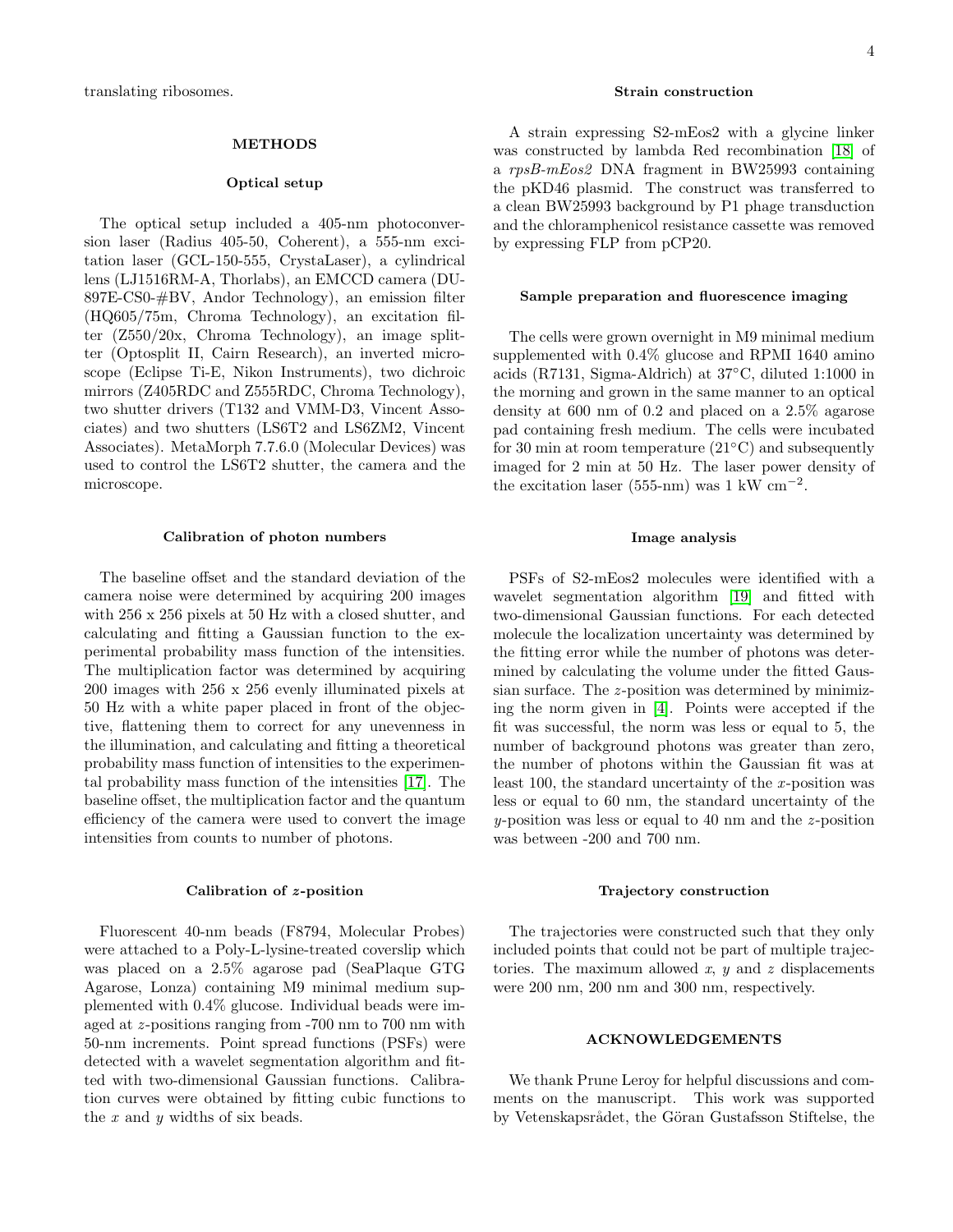# METHODS

### Optical setup

The optical setup included a 405-nm photoconversion laser (Radius 405-50, Coherent), a 555-nm excitation laser (GCL-150-555, CrystaLaser), a cylindrical lens (LJ1516RM-A, Thorlabs), an EMCCD camera (DU-897E-CS0-#BV, Andor Technology), an emission filter (HQ605/75m, Chroma Technology), an excitation filter (Z550/20x, Chroma Technology), an image splitter (Optosplit II, Cairn Research), an inverted microscope (Eclipse Ti-E, Nikon Instruments), two dichroic mirrors (Z405RDC and Z555RDC, Chroma Technology), two shutter drivers (T132 and VMM-D3, Vincent Associates) and two shutters (LS6T2 and LS6ZM2, Vincent Associates). MetaMorph 7.7.6.0 (Molecular Devices) was used to control the LS6T2 shutter, the camera and the microscope.

### Calibration of photon numbers

The baseline offset and the standard deviation of the camera noise were determined by acquiring 200 images with 256 x 256 pixels at 50 Hz with a closed shutter, and calculating and fitting a Gaussian function to the experimental probability mass function of the intensities. The multiplication factor was determined by acquiring 200 images with 256 x 256 evenly illuminated pixels at 50 Hz with a white paper placed in front of the objective, flattening them to correct for any unevenness in the illumination, and calculating and fitting a theoretical probability mass function of intensities to the experimental probability mass function of the intensities [\[17\]](#page-4-16). The baseline offset, the multiplication factor and the quantum efficiency of the camera were used to convert the image intensities from counts to number of photons.

### Calibration of  $z$ -position

Fluorescent 40-nm beads (F8794, Molecular Probes) were attached to a Poly-L-lysine-treated coverslip which was placed on a 2.5% agarose pad (SeaPlaque GTG Agarose, Lonza) containing M9 minimal medium supplemented with 0.4% glucose. Individual beads were imaged at  $z$ -positions ranging from  $-700$  nm to  $700$  nm with 50-nm increments. Point spread functions (PSFs) were detected with a wavelet segmentation algorithm and fitted with two-dimensional Gaussian functions. Calibration curves were obtained by fitting cubic functions to the  $x$  and  $y$  widths of six beads.

## Strain construction

A strain expressing S2-mEos2 with a glycine linker was constructed by lambda Red recombination [\[18\]](#page-4-17) of a rpsB-mEos2 DNA fragment in BW25993 containing the pKD46 plasmid. The construct was transferred to a clean BW25993 background by P1 phage transduction and the chloramphenicol resistance cassette was removed by expressing FLP from pCP20.

### Sample preparation and fluorescence imaging

The cells were grown overnight in M9 minimal medium supplemented with 0.4% glucose and RPMI 1640 amino acids (R7131, Sigma-Aldrich) at 37◦C, diluted 1:1000 in the morning and grown in the same manner to an optical density at 600 nm of 0.2 and placed on a 2.5% agarose pad containing fresh medium. The cells were incubated for 30 min at room temperature  $(21°C)$  and subsequently imaged for 2 min at 50 Hz. The laser power density of the excitation laser (555-nm) was  $1 \text{ kW cm}^{-2}$ .

# Image analysis

PSFs of S2-mEos2 molecules were identified with a wavelet segmentation algorithm [\[19\]](#page-4-18) and fitted with two-dimensional Gaussian functions. For each detected molecule the localization uncertainty was determined by the fitting error while the number of photons was determined by calculating the volume under the fitted Gaussian surface. The *z*-position was determined by minimizing the norm given in [\[4\]](#page-4-3). Points were accepted if the fit was successful, the norm was less or equal to 5, the number of background photons was greater than zero, the number of photons within the Gaussian fit was at least 100, the standard uncertainty of the x-position was less or equal to 60 nm, the standard uncertainty of the  $y$ -position was less or equal to 40 nm and the  $z$ -position was between -200 and 700 nm.

### Trajectory construction

The trajectories were constructed such that they only included points that could not be part of multiple trajectories. The maximum allowed  $x$ ,  $y$  and  $z$  displacements were 200 nm, 200 nm and 300 nm, respectively.

# ACKNOWLEDGEMENTS

We thank Prune Leroy for helpful discussions and comments on the manuscript. This work was supported by Vetenskapsrådet, the Göran Gustafsson Stiftelse, the